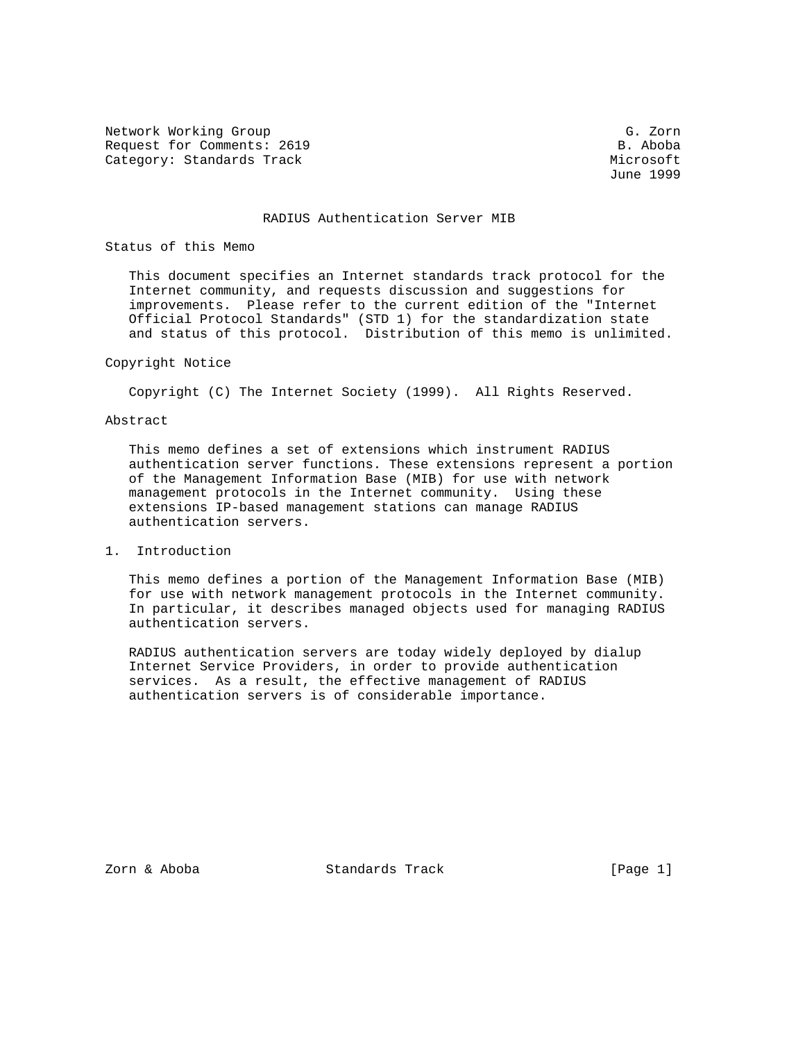Network Working Group Group G. Zorn Request for Comments: 2619 B. Aboba Category: Standards Track Microsoft Microsoft Microsoft Microsoft Microsoft Microsoft Microsoft Microsoft Microsoft Microsoft Microsoft Microsoft Microsoft Microsoft Microsoft Microsoft Microsoft Microsoft Microsoft Micros

June 1999

## RADIUS Authentication Server MIB

### Status of this Memo

 This document specifies an Internet standards track protocol for the Internet community, and requests discussion and suggestions for improvements. Please refer to the current edition of the "Internet Official Protocol Standards" (STD 1) for the standardization state and status of this protocol. Distribution of this memo is unlimited.

# Copyright Notice

Copyright (C) The Internet Society (1999). All Rights Reserved.

# Abstract

 This memo defines a set of extensions which instrument RADIUS authentication server functions. These extensions represent a portion of the Management Information Base (MIB) for use with network management protocols in the Internet community. Using these extensions IP-based management stations can manage RADIUS authentication servers.

1. Introduction

 This memo defines a portion of the Management Information Base (MIB) for use with network management protocols in the Internet community. In particular, it describes managed objects used for managing RADIUS authentication servers.

 RADIUS authentication servers are today widely deployed by dialup Internet Service Providers, in order to provide authentication services. As a result, the effective management of RADIUS authentication servers is of considerable importance.

Zorn & Aboba Standards Track [Page 1]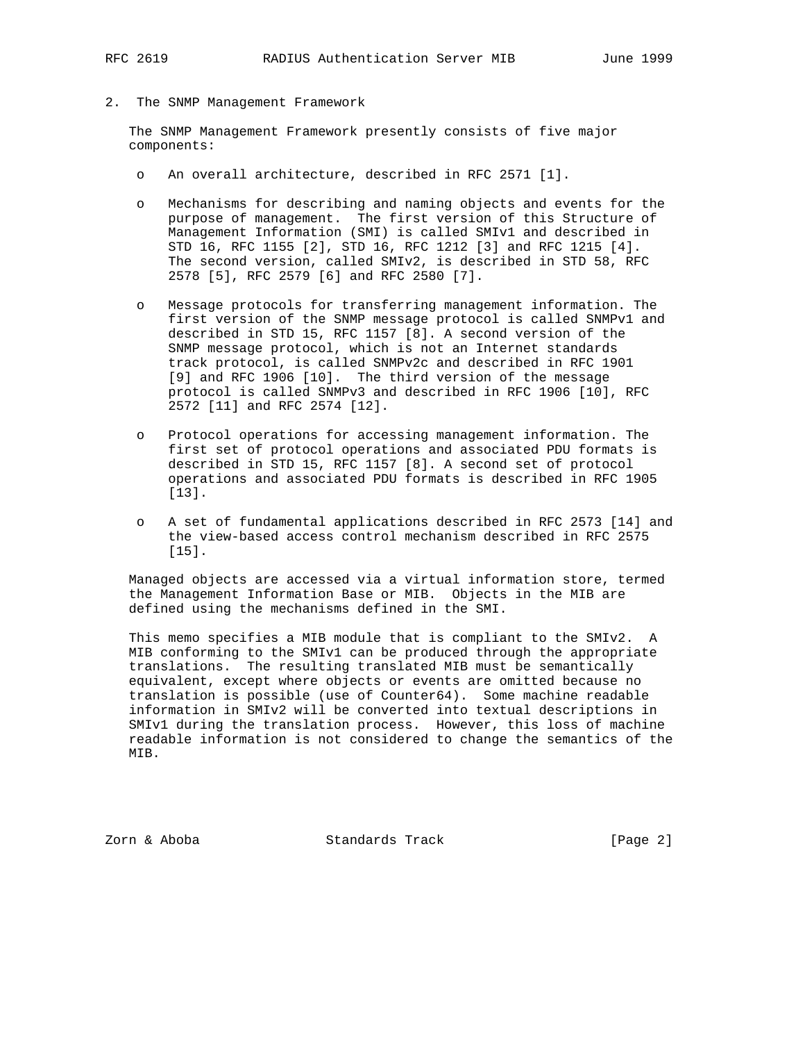2. The SNMP Management Framework

 The SNMP Management Framework presently consists of five major components:

- o An overall architecture, described in RFC 2571 [1].
- o Mechanisms for describing and naming objects and events for the purpose of management. The first version of this Structure of Management Information (SMI) is called SMIv1 and described in STD 16, RFC 1155 [2], STD 16, RFC 1212 [3] and RFC 1215 [4]. The second version, called SMIv2, is described in STD 58, RFC 2578 [5], RFC 2579 [6] and RFC 2580 [7].
- o Message protocols for transferring management information. The first version of the SNMP message protocol is called SNMPv1 and described in STD 15, RFC 1157 [8]. A second version of the SNMP message protocol, which is not an Internet standards track protocol, is called SNMPv2c and described in RFC 1901 [9] and RFC 1906 [10]. The third version of the message protocol is called SNMPv3 and described in RFC 1906 [10], RFC 2572 [11] and RFC 2574 [12].
- o Protocol operations for accessing management information. The first set of protocol operations and associated PDU formats is described in STD 15, RFC 1157 [8]. A second set of protocol operations and associated PDU formats is described in RFC 1905 [13].
- o A set of fundamental applications described in RFC 2573 [14] and the view-based access control mechanism described in RFC 2575 [15].

 Managed objects are accessed via a virtual information store, termed the Management Information Base or MIB. Objects in the MIB are defined using the mechanisms defined in the SMI.

 This memo specifies a MIB module that is compliant to the SMIv2. A MIB conforming to the SMIv1 can be produced through the appropriate translations. The resulting translated MIB must be semantically equivalent, except where objects or events are omitted because no translation is possible (use of Counter64). Some machine readable information in SMIv2 will be converted into textual descriptions in SMIv1 during the translation process. However, this loss of machine readable information is not considered to change the semantics of the MIB.

Zorn & Aboba Standards Track [Page 2]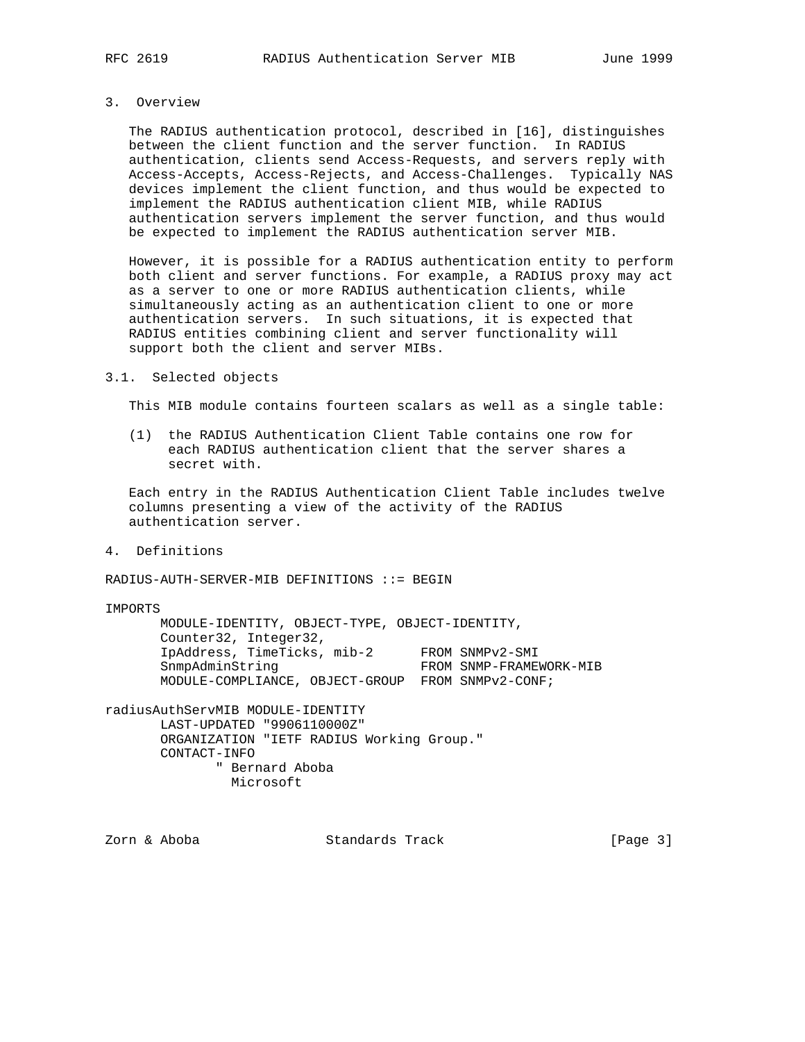# 3. Overview

 The RADIUS authentication protocol, described in [16], distinguishes between the client function and the server function. In RADIUS authentication, clients send Access-Requests, and servers reply with Access-Accepts, Access-Rejects, and Access-Challenges. Typically NAS devices implement the client function, and thus would be expected to implement the RADIUS authentication client MIB, while RADIUS authentication servers implement the server function, and thus would be expected to implement the RADIUS authentication server MIB.

 However, it is possible for a RADIUS authentication entity to perform both client and server functions. For example, a RADIUS proxy may act as a server to one or more RADIUS authentication clients, while simultaneously acting as an authentication client to one or more authentication servers. In such situations, it is expected that RADIUS entities combining client and server functionality will support both the client and server MIBs.

## 3.1. Selected objects

This MIB module contains fourteen scalars as well as a single table:

 (1) the RADIUS Authentication Client Table contains one row for each RADIUS authentication client that the server shares a secret with.

 Each entry in the RADIUS Authentication Client Table includes twelve columns presenting a view of the activity of the RADIUS authentication server.

4. Definitions

RADIUS-AUTH-SERVER-MIB DEFINITIONS ::= BEGIN

IMPORTS

 MODULE-IDENTITY, OBJECT-TYPE, OBJECT-IDENTITY, Counter32, Integer32, IpAddress, TimeTicks, mib-2 FROM SNMPv2-SMI SnmpAdminString FROM SNMP-FRAMEWORK-MIB MODULE-COMPLIANCE, OBJECT-GROUP FROM SNMPv2-CONF;

radiusAuthServMIB MODULE-IDENTITY LAST-UPDATED "9906110000Z" ORGANIZATION "IETF RADIUS Working Group." CONTACT-INFO " Bernard Aboba Microsoft

Zorn & Aboba Standards Track [Page 3]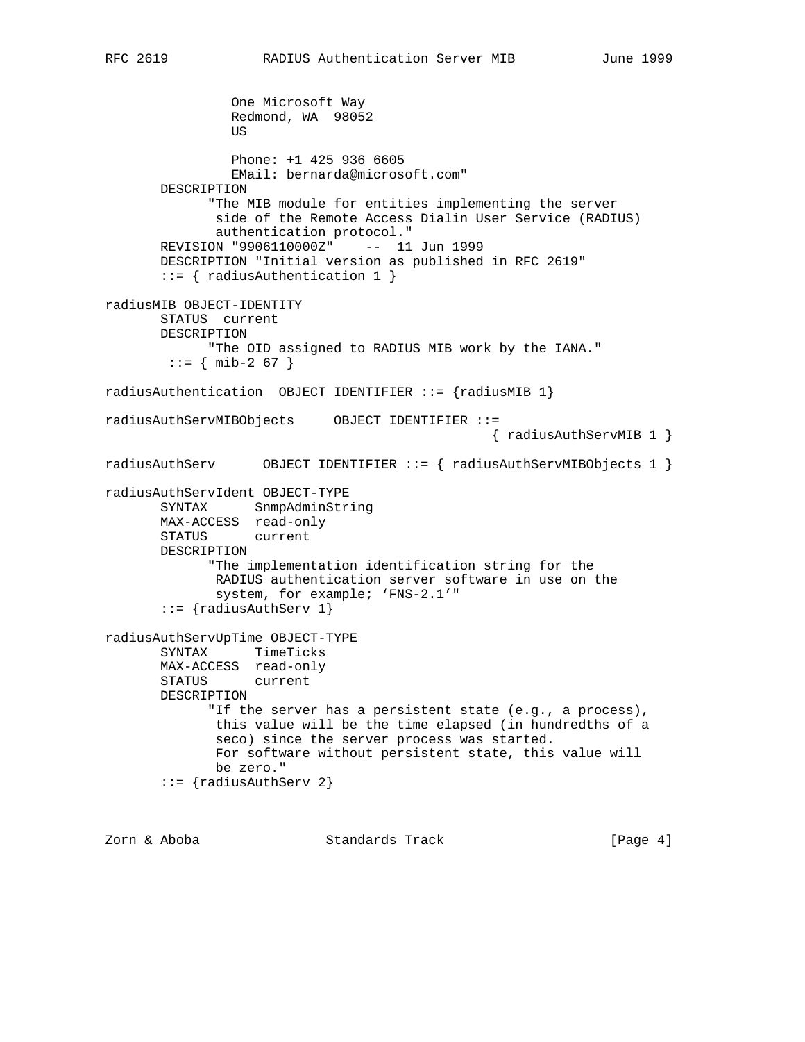```
 One Microsoft Way
                   Redmond, WA 98052
US and the state of the state of the state of the state of the state of the state of the state of the state of the state of the state of the state of the state of the state of the state of the state of the state of the s
                   Phone: +1 425 936 6605
                   EMail: bernarda@microsoft.com"
         DESCRIPTION
                "The MIB module for entities implementing the server
                 side of the Remote Access Dialin User Service (RADIUS)
                 authentication protocol."
         REVISION "9906110000Z" -- 11 Jun 1999
         DESCRIPTION "Initial version as published in RFC 2619"
         ::= { radiusAuthentication 1 }
radiusMIB OBJECT-IDENTITY
         STATUS current
         DESCRIPTION
               "The OID assigned to RADIUS MIB work by the IANA."
         ::= { mib-2 67 }
radiusAuthentication OBJECT IDENTIFIER ::= {radiusMIB 1}
radiusAuthServMIBObjects OBJECT IDENTIFIER ::=
                                                          { radiusAuthServMIB 1 }
radiusAuthServ OBJECT IDENTIFIER ::= { radiusAuthServMIBObjects 1 }
radiusAuthServIdent OBJECT-TYPE
         SYNTAX SnmpAdminString
         MAX-ACCESS read-only
         STATUS current
         DESCRIPTION
                "The implementation identification string for the
                RADIUS authentication server software in use on the
                 system, for example; 'FNS-2.1'"
         ::= {radiusAuthServ 1}
radiusAuthServUpTime OBJECT-TYPE
         SYNTAX TimeTicks
         MAX-ACCESS read-only
         STATUS current
         DESCRIPTION
                "If the server has a persistent state (e.g., a process),
                 this value will be the time elapsed (in hundredths of a
                 seco) since the server process was started.
                 For software without persistent state, this value will
                 be zero."
         ::= {radiusAuthServ 2}
```
Zorn & Aboba Standards Track [Page 4]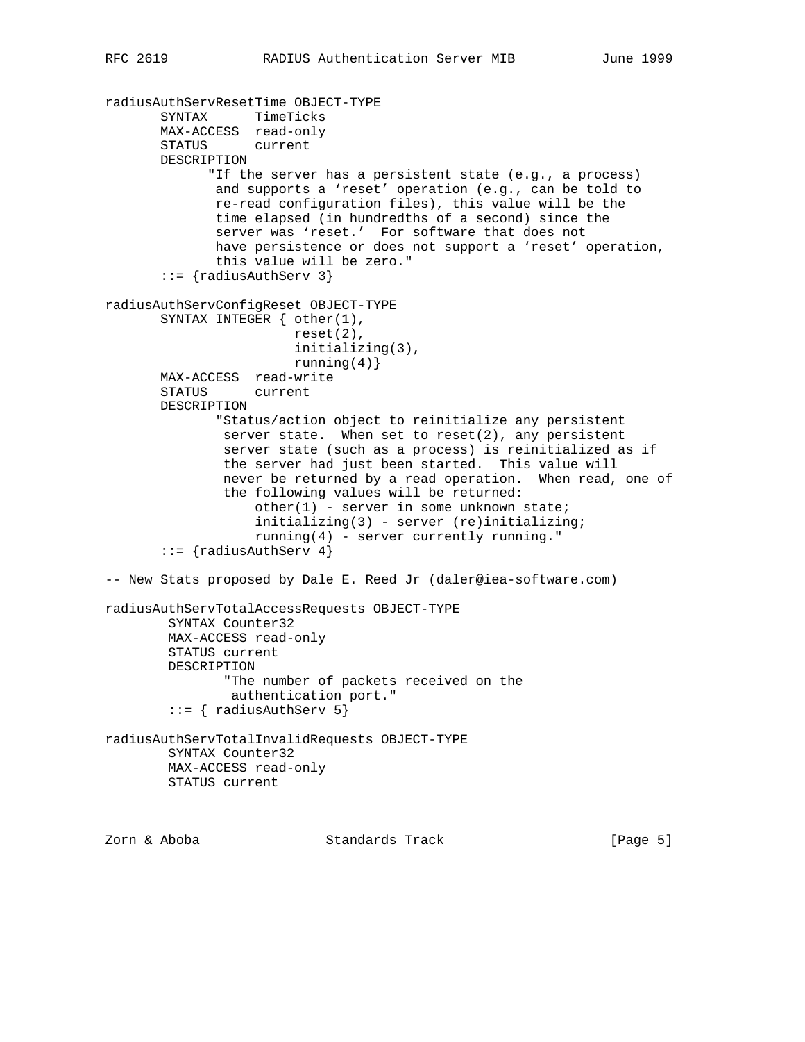```
radiusAuthServResetTime OBJECT-TYPE
 SYNTAX TimeTicks
 MAX-ACCESS read-only
        STATUS current
       DESCRIPTION
              "If the server has a persistent state (e.g., a process)
               and supports a 'reset' operation (e.g., can be told to
               re-read configuration files), this value will be the
               time elapsed (in hundredths of a second) since the
               server was 'reset.' For software that does not
               have persistence or does not support a 'reset' operation,
               this value will be zero."
        ::= {radiusAuthServ 3}
radiusAuthServConfigReset OBJECT-TYPE
       SYNTAX INTEGER { other(1),
                         reset(2),
                         initializing(3),
                        running(4)}
       MAX-ACCESS read-write
       STATUS current
       DESCRIPTION
               "Status/action object to reinitialize any persistent
               server state. When set to reset(2), any persistent
               server state (such as a process) is reinitialized as if
                the server had just been started. This value will
                never be returned by a read operation. When read, one of
                the following values will be returned:
                   other(1) - server in some unknown state;
                    initializing(3) - server (re)initializing;
                    running(4) - server currently running."
       ::= \{radiansAuthor 4\}-- New Stats proposed by Dale E. Reed Jr (daler@iea-software.com)
radiusAuthServTotalAccessRequests OBJECT-TYPE
         SYNTAX Counter32
        MAX-ACCESS read-only
         STATUS current
         DESCRIPTION
                "The number of packets received on the
                authentication port."
         ::= { radiusAuthServ 5}
radiusAuthServTotalInvalidRequests OBJECT-TYPE
         SYNTAX Counter32
        MAX-ACCESS read-only
        STATUS current
```
Zorn & Aboba Standards Track [Page 5]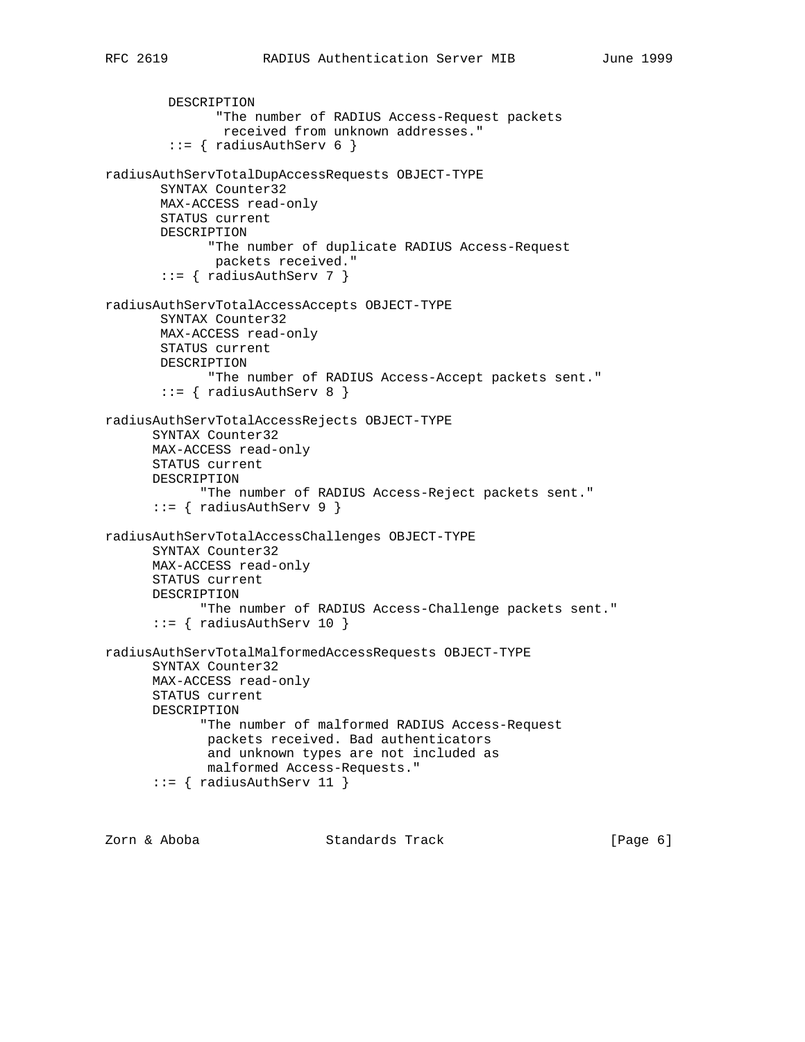```
 DESCRIPTION
               "The number of RADIUS Access-Request packets
                received from unknown addresses."
        ::= { radiusAuthServ 6 }
radiusAuthServTotalDupAccessRequests OBJECT-TYPE
        SYNTAX Counter32
        MAX-ACCESS read-only
        STATUS current
        DESCRIPTION
              "The number of duplicate RADIUS Access-Request
               packets received."
        ::= { radiusAuthServ 7 }
radiusAuthServTotalAccessAccepts OBJECT-TYPE
        SYNTAX Counter32
        MAX-ACCESS read-only
        STATUS current
        DESCRIPTION
              "The number of RADIUS Access-Accept packets sent."
       ::= { radiusAuthServ 8 }
radiusAuthServTotalAccessRejects OBJECT-TYPE
       SYNTAX Counter32
       MAX-ACCESS read-only
       STATUS current
       DESCRIPTION
             "The number of RADIUS Access-Reject packets sent."
      ::= { radiusAuthServ 9 }
radiusAuthServTotalAccessChallenges OBJECT-TYPE
       SYNTAX Counter32
       MAX-ACCESS read-only
       STATUS current
       DESCRIPTION
             "The number of RADIUS Access-Challenge packets sent."
       ::= { radiusAuthServ 10 }
radiusAuthServTotalMalformedAccessRequests OBJECT-TYPE
       SYNTAX Counter32
       MAX-ACCESS read-only
       STATUS current
       DESCRIPTION
             "The number of malformed RADIUS Access-Request
              packets received. Bad authenticators
              and unknown types are not included as
             malformed Access-Requests."
       ::= { radiusAuthServ 11 }
```
Zorn & Aboba Standards Track [Page 6]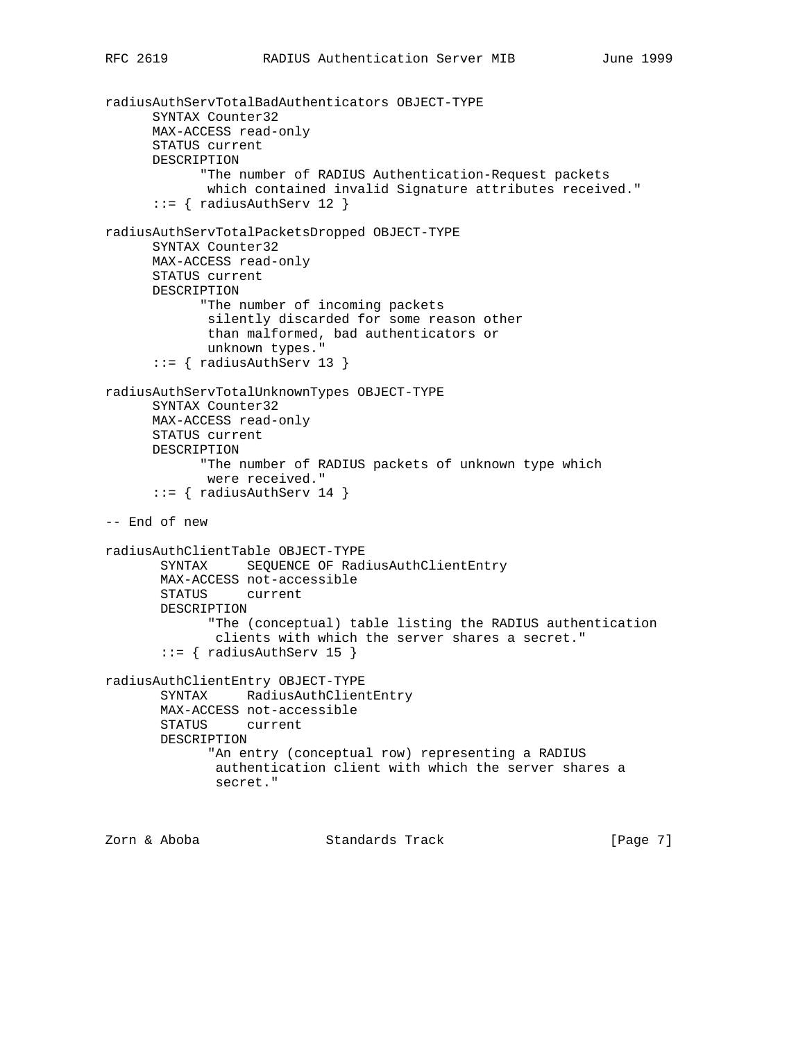```
radiusAuthServTotalBadAuthenticators OBJECT-TYPE
       SYNTAX Counter32
       MAX-ACCESS read-only
       STATUS current
       DESCRIPTION
             "The number of RADIUS Authentication-Request packets
              which contained invalid Signature attributes received."
      ::= { radiusAuthServ 12 }
radiusAuthServTotalPacketsDropped OBJECT-TYPE
       SYNTAX Counter32
       MAX-ACCESS read-only
       STATUS current
       DESCRIPTION
             "The number of incoming packets
              silently discarded for some reason other
              than malformed, bad authenticators or
              unknown types."
       ::= { radiusAuthServ 13 }
radiusAuthServTotalUnknownTypes OBJECT-TYPE
       SYNTAX Counter32
       MAX-ACCESS read-only
       STATUS current
       DESCRIPTION
             "The number of RADIUS packets of unknown type which
              were received."
       ::= { radiusAuthServ 14 }
-- End of new
radiusAuthClientTable OBJECT-TYPE
        SYNTAX SEQUENCE OF RadiusAuthClientEntry
        MAX-ACCESS not-accessible
        STATUS current
        DESCRIPTION
              "The (conceptual) table listing the RADIUS authentication
               clients with which the server shares a secret."
        ::= { radiusAuthServ 15 }
radiusAuthClientEntry OBJECT-TYPE
        SYNTAX RadiusAuthClientEntry
        MAX-ACCESS not-accessible
        STATUS current
        DESCRIPTION
              "An entry (conceptual row) representing a RADIUS
               authentication client with which the server shares a
               secret."
```
Zorn & Aboba Standards Track [Page 7]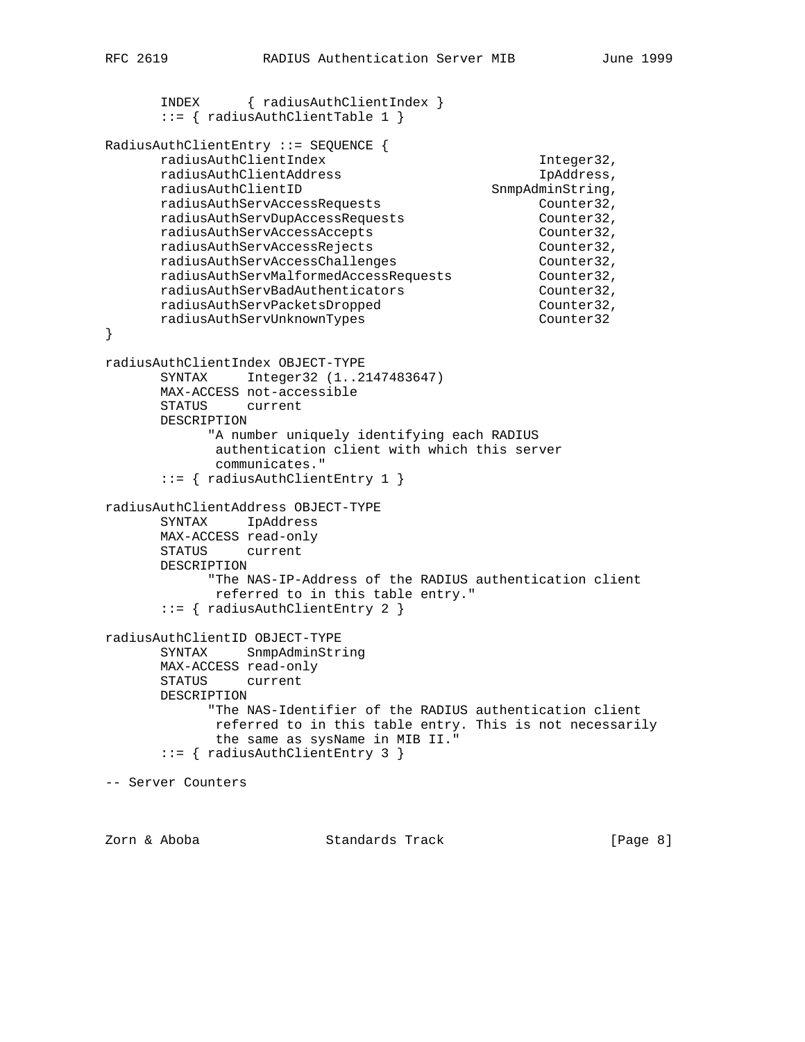```
 INDEX { radiusAuthClientIndex }
       ::= { radiusAuthClientTable 1 }
RadiusAuthClientEntry ::= SEQUENCE {
     radiusAuthClientIndex 1nteger32,
     radiusAuthClientAddress in the IpAddress,
     radiusAuthClientID SnmpAdminString,
      radiusAuthServAccessRequests Counter32,
     radiusAuthServDupAccessRequests Counter32,
      radiusAuthServAccessAccepts Counter32,
 radiusAuthServAccessRejects Counter32,
 radiusAuthServAccessChallenges Counter32,
 radiusAuthServMalformedAccessRequests Counter32,
radiusAuthServBadAuthenticators entitled counter32,
 radiusAuthServPacketsDropped Counter32,
radiusAuthServUnknownTypes counter32
}
radiusAuthClientIndex OBJECT-TYPE
      SYNTAX Integer32 (1..2147483647)
      MAX-ACCESS not-accessible
      STATUS current
      DESCRIPTION
            "A number uniquely identifying each RADIUS
            authentication client with which this server
            communicates."
       ::= { radiusAuthClientEntry 1 }
radiusAuthClientAddress OBJECT-TYPE
      SYNTAX IpAddress
      MAX-ACCESS read-only
      STATUS current
      DESCRIPTION
            "The NAS-IP-Address of the RADIUS authentication client
            referred to in this table entry."
       ::= { radiusAuthClientEntry 2 }
radiusAuthClientID OBJECT-TYPE
      SYNTAX SnmpAdminString
      MAX-ACCESS read-only
       STATUS current
      DESCRIPTION
            "The NAS-Identifier of the RADIUS authentication client
            referred to in this table entry. This is not necessarily
             the same as sysName in MIB II."
       ::= { radiusAuthClientEntry 3 }
-- Server Counters
```
Zorn & Aboba Standards Track [Page 8]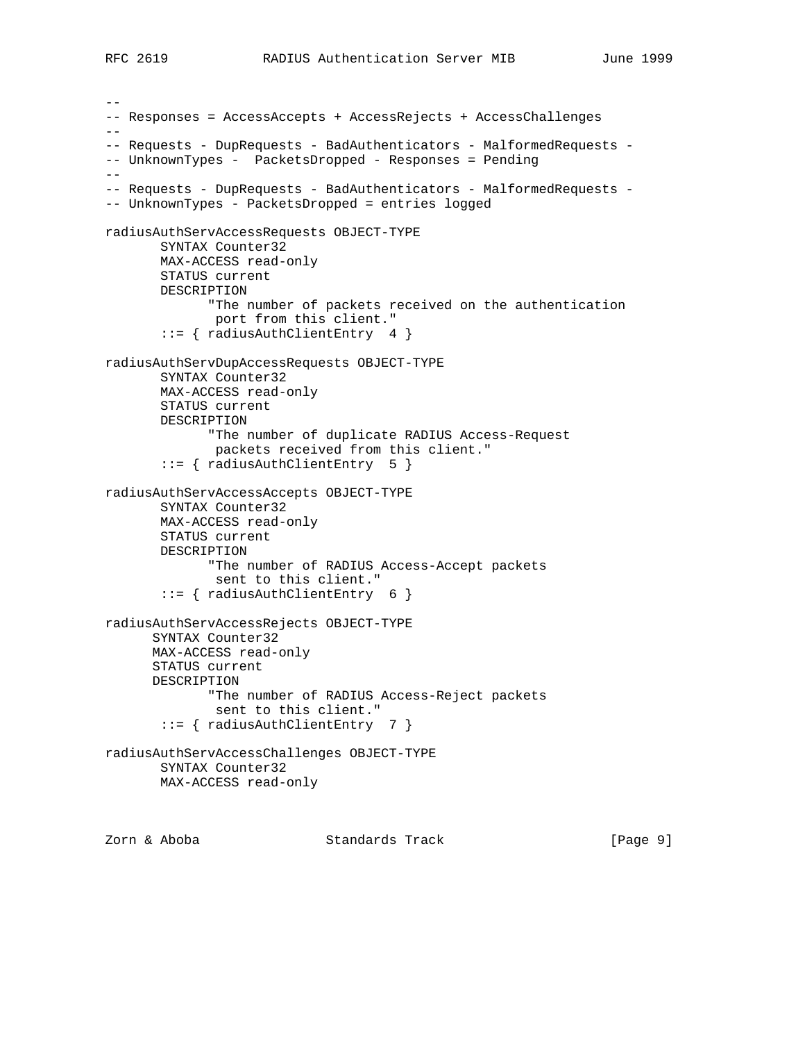```
--
-- Responses = AccessAccepts + AccessRejects + AccessChallenges
--
-- Requests - DupRequests - BadAuthenticators - MalformedRequests -
-- UnknownTypes - PacketsDropped - Responses = Pending
--- Requests - DupRequests - BadAuthenticators - MalformedRequests -
-- UnknownTypes - PacketsDropped = entries logged
radiusAuthServAccessRequests OBJECT-TYPE
        SYNTAX Counter32
        MAX-ACCESS read-only
        STATUS current
        DESCRIPTION
              "The number of packets received on the authentication
               port from this client."
        ::= { radiusAuthClientEntry 4 }
radiusAuthServDupAccessRequests OBJECT-TYPE
        SYNTAX Counter32
        MAX-ACCESS read-only
        STATUS current
        DESCRIPTION
              "The number of duplicate RADIUS Access-Request
               packets received from this client."
        ::= { radiusAuthClientEntry 5 }
radiusAuthServAccessAccepts OBJECT-TYPE
        SYNTAX Counter32
        MAX-ACCESS read-only
        STATUS current
        DESCRIPTION
              "The number of RADIUS Access-Accept packets
              sent to this client."
        ::= { radiusAuthClientEntry 6 }
radiusAuthServAccessRejects OBJECT-TYPE
       SYNTAX Counter32
       MAX-ACCESS read-only
       STATUS current
       DESCRIPTION
              "The number of RADIUS Access-Reject packets
               sent to this client."
        ::= { radiusAuthClientEntry 7 }
radiusAuthServAccessChallenges OBJECT-TYPE
        SYNTAX Counter32
        MAX-ACCESS read-only
```
Zorn & Aboba Standards Track [Page 9]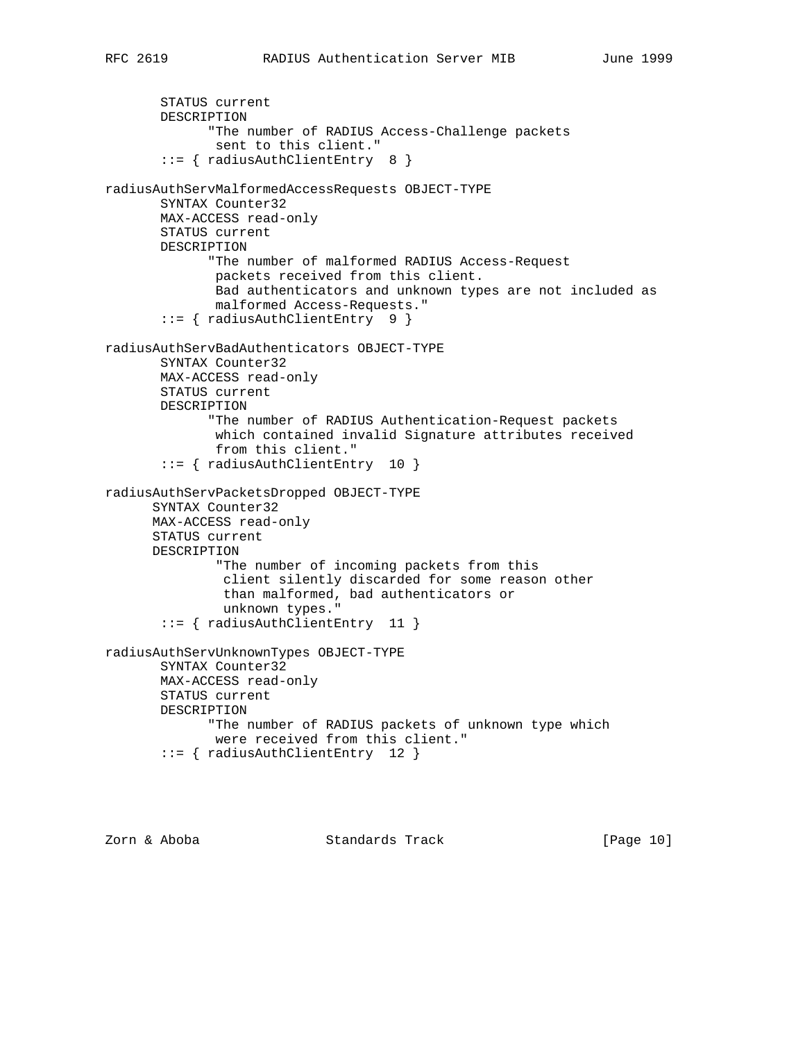```
 STATUS current
        DESCRIPTION
              "The number of RADIUS Access-Challenge packets
               sent to this client."
        ::= { radiusAuthClientEntry 8 }
radiusAuthServMalformedAccessRequests OBJECT-TYPE
        SYNTAX Counter32
        MAX-ACCESS read-only
        STATUS current
        DESCRIPTION
              "The number of malformed RADIUS Access-Request
               packets received from this client.
               Bad authenticators and unknown types are not included as
               malformed Access-Requests."
        ::= { radiusAuthClientEntry 9 }
radiusAuthServBadAuthenticators OBJECT-TYPE
        SYNTAX Counter32
        MAX-ACCESS read-only
        STATUS current
        DESCRIPTION
              "The number of RADIUS Authentication-Request packets
               which contained invalid Signature attributes received
               from this client."
        ::= { radiusAuthClientEntry 10 }
radiusAuthServPacketsDropped OBJECT-TYPE
       SYNTAX Counter32
       MAX-ACCESS read-only
       STATUS current
       DESCRIPTION
               "The number of incoming packets from this
                client silently discarded for some reason other
                than malformed, bad authenticators or
                unknown types."
        ::= { radiusAuthClientEntry 11 }
radiusAuthServUnknownTypes OBJECT-TYPE
        SYNTAX Counter32
        MAX-ACCESS read-only
```
 STATUS current DESCRIPTION "The number of RADIUS packets of unknown type which were received from this client." ::= { radiusAuthClientEntry 12 }

Zorn & Aboba Standards Track [Page 10]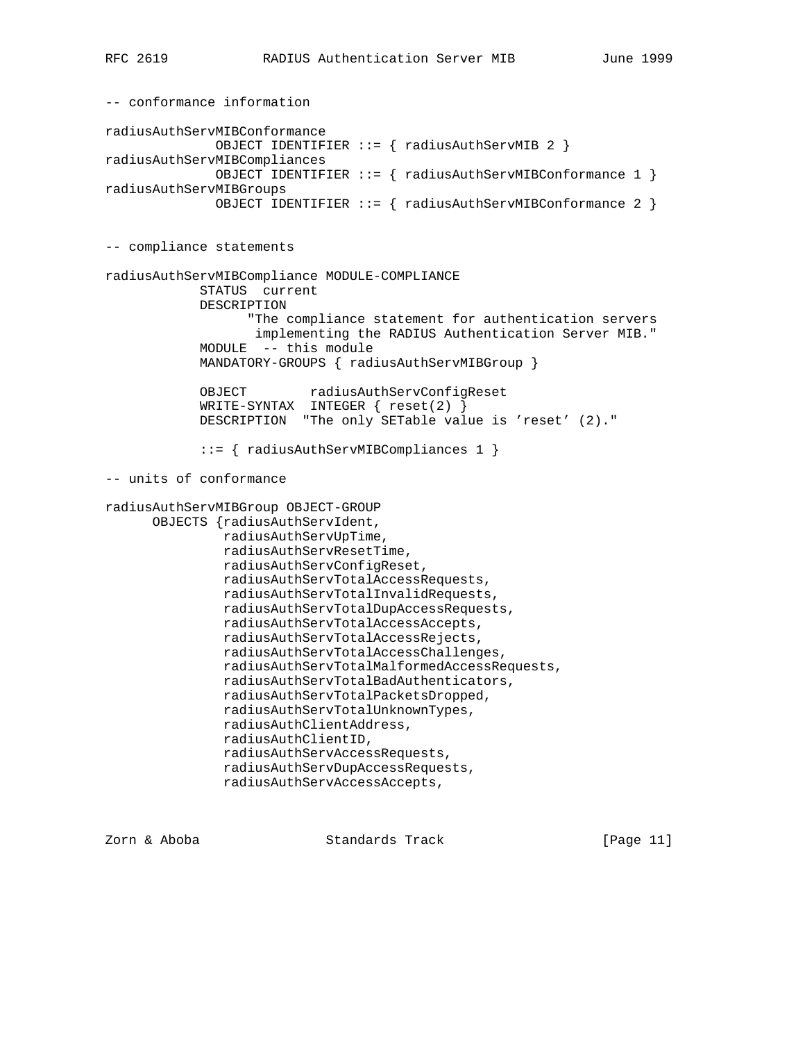-- conformance information radiusAuthServMIBConformance OBJECT IDENTIFIER ::= { radiusAuthServMIB 2 } radiusAuthServMIBCompliances OBJECT IDENTIFIER ::= { radiusAuthServMIBConformance 1 } radiusAuthServMIBGroups OBJECT IDENTIFIER ::= { radiusAuthServMIBConformance 2 } -- compliance statements radiusAuthServMIBCompliance MODULE-COMPLIANCE STATUS current DESCRIPTION "The compliance statement for authentication servers implementing the RADIUS Authentication Server MIB." MODULE -- this module MANDATORY-GROUPS { radiusAuthServMIBGroup } OBJECT radiusAuthServConfigReset WRITE-SYNTAX INTEGER { reset(2) } DESCRIPTION "The only SETable value is 'reset' (2)." ::= { radiusAuthServMIBCompliances 1 } -- units of conformance radiusAuthServMIBGroup OBJECT-GROUP OBJECTS {radiusAuthServIdent, radiusAuthServUpTime, radiusAuthServResetTime, radiusAuthServConfigReset, radiusAuthServTotalAccessRequests, radiusAuthServTotalInvalidRequests, radiusAuthServTotalDupAccessRequests, radiusAuthServTotalAccessAccepts, radiusAuthServTotalAccessRejects, radiusAuthServTotalAccessChallenges, radiusAuthServTotalMalformedAccessRequests, radiusAuthServTotalBadAuthenticators, radiusAuthServTotalPacketsDropped, radiusAuthServTotalUnknownTypes, radiusAuthClientAddress, radiusAuthClientID, radiusAuthServAccessRequests, radiusAuthServDupAccessRequests, radiusAuthServAccessAccepts,

Zorn & Aboba Standards Track [Page 11]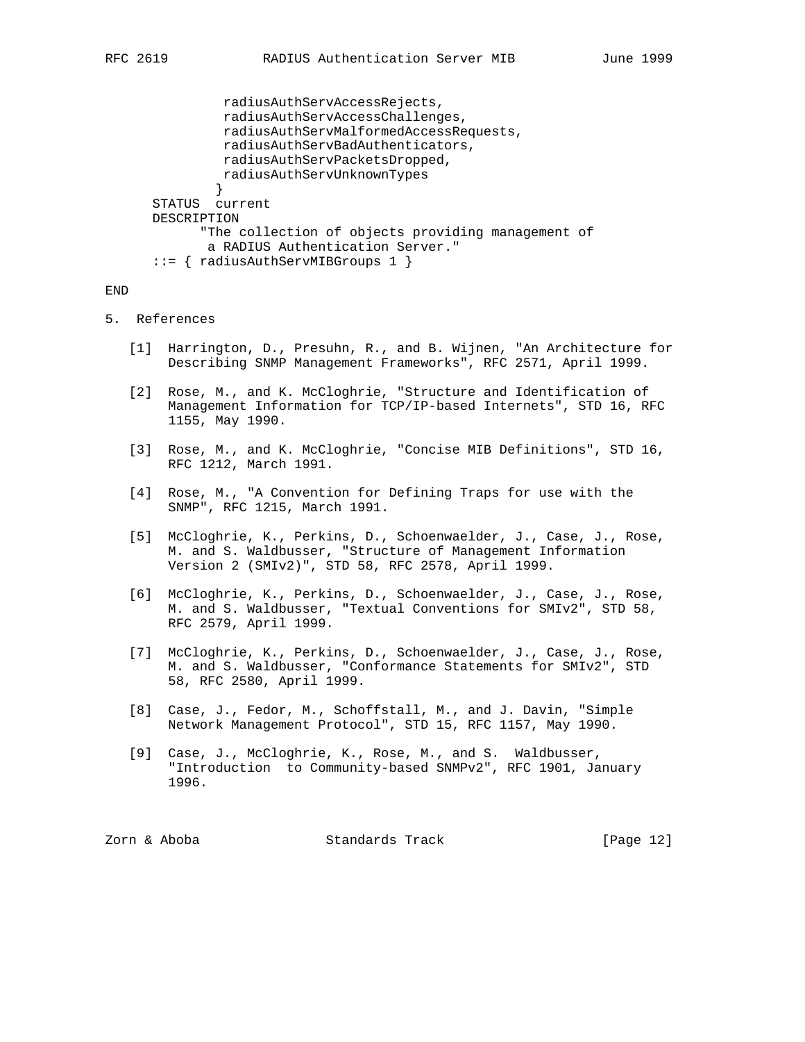```
 radiusAuthServAccessRejects,
                radiusAuthServAccessChallenges,
               radiusAuthServMalformedAccessRequests,
               radiusAuthServBadAuthenticators,
               radiusAuthServPacketsDropped,
               radiusAuthServUnknownTypes
 }
      STATUS current
      DESCRIPTION
             "The collection of objects providing management of
             a RADIUS Authentication Server."
       ::= { radiusAuthServMIBGroups 1 }
```
### END

- 5. References
	- [1] Harrington, D., Presuhn, R., and B. Wijnen, "An Architecture for Describing SNMP Management Frameworks", RFC 2571, April 1999.
	- [2] Rose, M., and K. McCloghrie, "Structure and Identification of Management Information for TCP/IP-based Internets", STD 16, RFC 1155, May 1990.
	- [3] Rose, M., and K. McCloghrie, "Concise MIB Definitions", STD 16, RFC 1212, March 1991.
	- [4] Rose, M., "A Convention for Defining Traps for use with the SNMP", RFC 1215, March 1991.
	- [5] McCloghrie, K., Perkins, D., Schoenwaelder, J., Case, J., Rose, M. and S. Waldbusser, "Structure of Management Information Version 2 (SMIv2)", STD 58, RFC 2578, April 1999.
	- [6] McCloghrie, K., Perkins, D., Schoenwaelder, J., Case, J., Rose, M. and S. Waldbusser, "Textual Conventions for SMIv2", STD 58, RFC 2579, April 1999.
	- [7] McCloghrie, K., Perkins, D., Schoenwaelder, J., Case, J., Rose, M. and S. Waldbusser, "Conformance Statements for SMIv2", STD 58, RFC 2580, April 1999.
	- [8] Case, J., Fedor, M., Schoffstall, M., and J. Davin, "Simple Network Management Protocol", STD 15, RFC 1157, May 1990.
	- [9] Case, J., McCloghrie, K., Rose, M., and S. Waldbusser, "Introduction to Community-based SNMPv2", RFC 1901, January 1996.

| [Page 12]<br>Standards Track<br>Zorn & Aboba |  |  |  |
|----------------------------------------------|--|--|--|
|----------------------------------------------|--|--|--|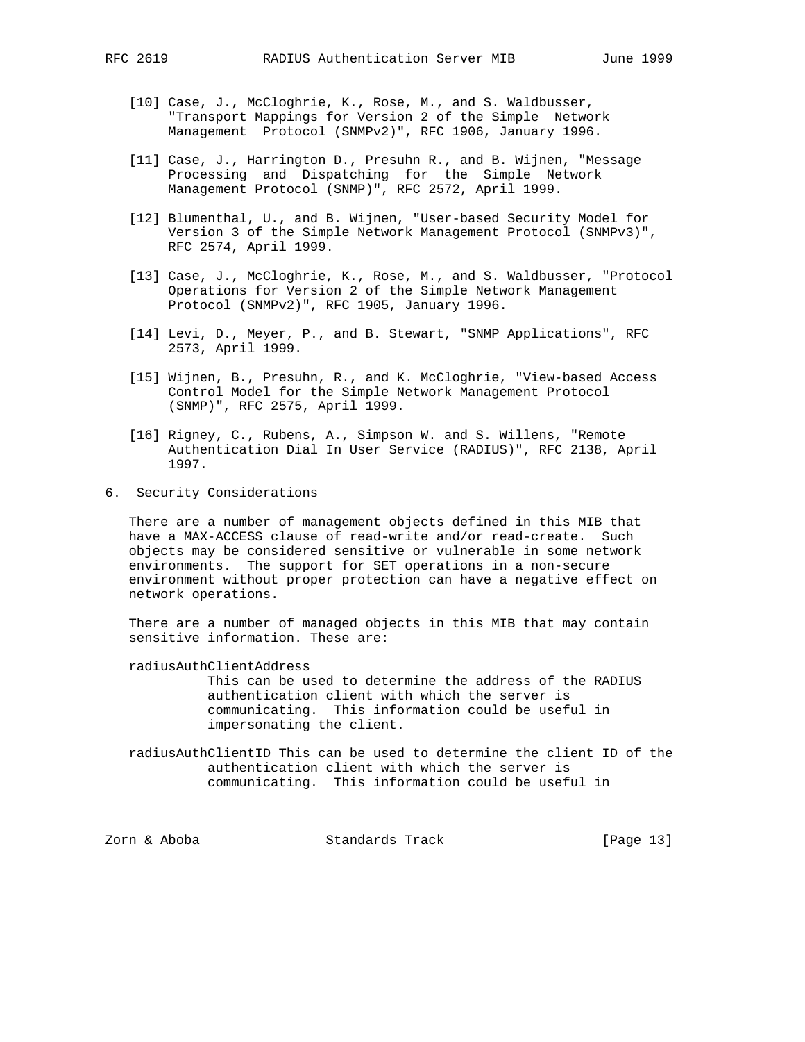- [10] Case, J., McCloghrie, K., Rose, M., and S. Waldbusser, "Transport Mappings for Version 2 of the Simple Network Management Protocol (SNMPv2)", RFC 1906, January 1996.
- [11] Case, J., Harrington D., Presuhn R., and B. Wijnen, "Message Processing and Dispatching for the Simple Network Management Protocol (SNMP)", RFC 2572, April 1999.
- [12] Blumenthal, U., and B. Wijnen, "User-based Security Model for Version 3 of the Simple Network Management Protocol (SNMPv3)", RFC 2574, April 1999.
- [13] Case, J., McCloghrie, K., Rose, M., and S. Waldbusser, "Protocol Operations for Version 2 of the Simple Network Management Protocol (SNMPv2)", RFC 1905, January 1996.
- [14] Levi, D., Meyer, P., and B. Stewart, "SNMP Applications", RFC 2573, April 1999.
- [15] Wijnen, B., Presuhn, R., and K. McCloghrie, "View-based Access Control Model for the Simple Network Management Protocol (SNMP)", RFC 2575, April 1999.
- [16] Rigney, C., Rubens, A., Simpson W. and S. Willens, "Remote Authentication Dial In User Service (RADIUS)", RFC 2138, April 1997.
- 6. Security Considerations

 There are a number of management objects defined in this MIB that have a MAX-ACCESS clause of read-write and/or read-create. Such objects may be considered sensitive or vulnerable in some network environments. The support for SET operations in a non-secure environment without proper protection can have a negative effect on network operations.

 There are a number of managed objects in this MIB that may contain sensitive information. These are:

- radiusAuthClientAddress This can be used to determine the address of the RADIUS authentication client with which the server is communicating. This information could be useful in impersonating the client.
- radiusAuthClientID This can be used to determine the client ID of the authentication client with which the server is communicating. This information could be useful in

Zorn & Aboba Standards Track [Page 13]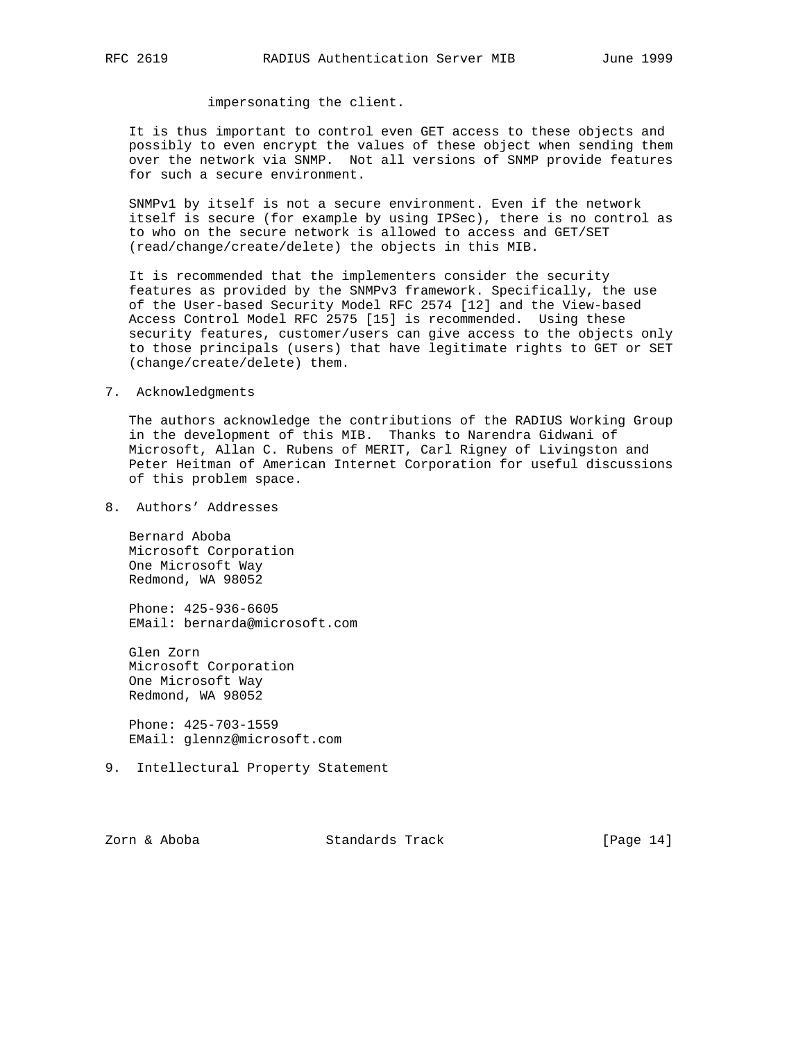# impersonating the client.

 It is thus important to control even GET access to these objects and possibly to even encrypt the values of these object when sending them over the network via SNMP. Not all versions of SNMP provide features for such a secure environment.

 SNMPv1 by itself is not a secure environment. Even if the network itself is secure (for example by using IPSec), there is no control as to who on the secure network is allowed to access and GET/SET (read/change/create/delete) the objects in this MIB.

 It is recommended that the implementers consider the security features as provided by the SNMPv3 framework. Specifically, the use of the User-based Security Model RFC 2574 [12] and the View-based Access Control Model RFC 2575 [15] is recommended. Using these security features, customer/users can give access to the objects only to those principals (users) that have legitimate rights to GET or SET (change/create/delete) them.

### 7. Acknowledgments

 The authors acknowledge the contributions of the RADIUS Working Group in the development of this MIB. Thanks to Narendra Gidwani of Microsoft, Allan C. Rubens of MERIT, Carl Rigney of Livingston and Peter Heitman of American Internet Corporation for useful discussions of this problem space.

8. Authors' Addresses

 Bernard Aboba Microsoft Corporation One Microsoft Way Redmond, WA 98052

 Phone: 425-936-6605 EMail: bernarda@microsoft.com

 Glen Zorn Microsoft Corporation One Microsoft Way Redmond, WA 98052

 Phone: 425-703-1559 EMail: glennz@microsoft.com

9. Intellectural Property Statement

Zorn & Aboba Standards Track [Page 14]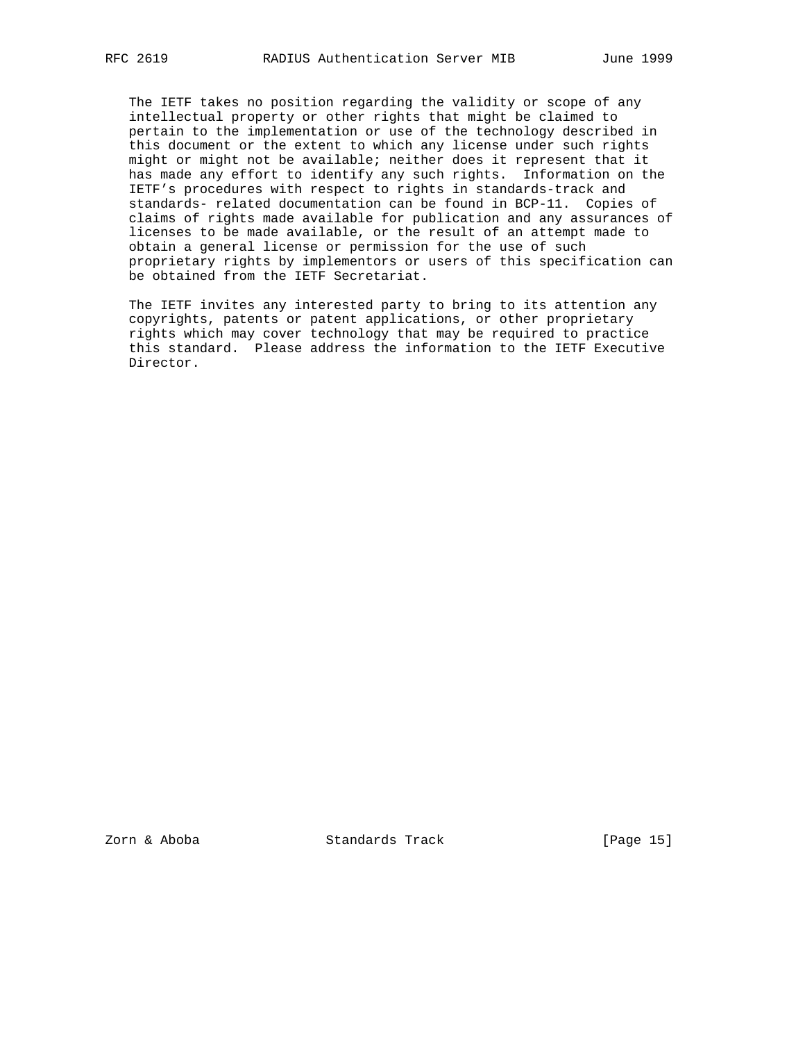The IETF takes no position regarding the validity or scope of any intellectual property or other rights that might be claimed to pertain to the implementation or use of the technology described in this document or the extent to which any license under such rights might or might not be available; neither does it represent that it has made any effort to identify any such rights. Information on the IETF's procedures with respect to rights in standards-track and standards- related documentation can be found in BCP-11. Copies of claims of rights made available for publication and any assurances of licenses to be made available, or the result of an attempt made to obtain a general license or permission for the use of such proprietary rights by implementors or users of this specification can be obtained from the IETF Secretariat.

 The IETF invites any interested party to bring to its attention any copyrights, patents or patent applications, or other proprietary rights which may cover technology that may be required to practice this standard. Please address the information to the IETF Executive Director.

Zorn & Aboba Standards Track [Page 15]